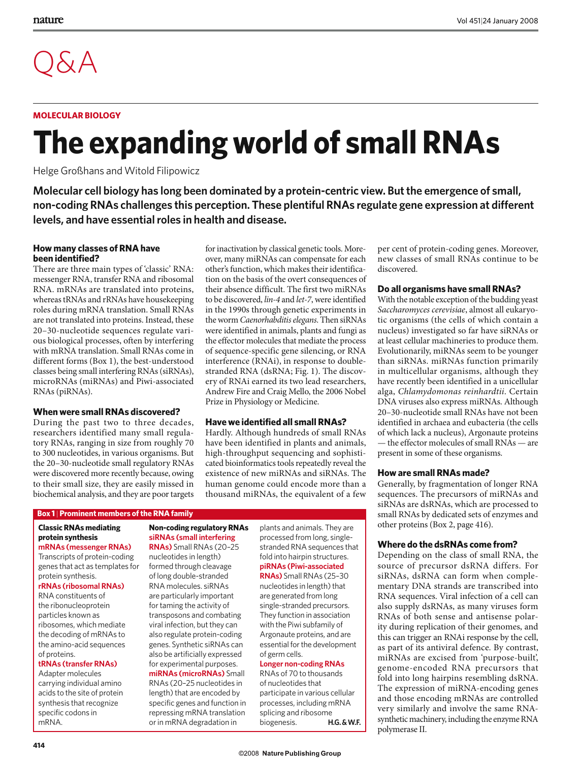# $\delta$ A

#### **MOLECULAR BIOLOGY**

# **The expanding world of small RNAs**

Helge Großhans and Witold Filipowicz

**Molecular cell biology has long been dominated by a protein-centric view. But the emergence of small, non-coding RNAs challenges this perception. These plentiful RNAs regulate gene expression at different levels, and have essential roles in health and disease.**

#### **How many classes of RNA have been identified?**

There are three main types of 'classic' RNA: messenger RNA, transfer RNA and ribosomal RNA. mRNAs are translated into proteins, whereas tRNAs and rRNAs have housekeeping roles during mRNA translation. Small RNAs are not translated into proteins. Instead, these 20–30-nucleotide sequences regulate various biological processes, often by interfering with mRNA translation. Small RNAs come in different forms (Box 1), the best-understood classes being small interfering RNAs (siRNAs), microRNAs (miRNAs) and Piwi-associated RNAs (piRNAs).

# **When were small RNAs discovered?**

During the past two to three decades, researchers identified many small regulatory RNAs, ranging in size from roughly 70 to 300 nucleotides, in various organisms. But the 20–30-nucleotide small regulatory RNAs were discovered more recently because, owing to their small size, they are easily missed in biochemical analysis, and they are poor targets for inactivation by classical genetic tools. Moreover, many miRNAs can compensate for each other's function, which makes their identification on the basis of the overt consequences of their absence difficult. The first two miRNAs to be discovered, *lin-4* and *let-7*, were identified in the 1990s through genetic experiments in the worm *Caenorhabditis elegans*. Then siRNAs were identified in animals, plants and fungi as the effector molecules that mediate the process of sequence-specific gene silencing, or RNA interference (RNAi), in response to doublestranded RNA (dsRNA; Fig. 1). The discovery of RNAi earned its two lead researchers, Andrew Fire and Craig Mello, the 2006 Nobel Prize in Physiology or Medicine.

# **Have we identified all small RNAs?**

Hardly. Although hundreds of small RNAs have been identified in plants and animals, high-throughput sequencing and sophisticated bioinformatics tools repeatedly reveal the existence of new miRNAs and siRNAs. The human genome could encode more than a thousand miRNAs, the equivalent of a few

#### **Box 1** | **Prominent members of the RNA family**

#### **Classic RNAs mediating protein synthesis mRNAs (messenger RNAs)**

Transcripts of protein-coding genes that act as templates for protein synthesis.

#### **rRNAs (ribosomal RNAs)**

RNA constituents of the ribonucleoprotein particles known as ribosomes, which mediate the decoding of mRNAs to the amino-acid sequences of proteins.

# **tRNAs (transfer RNAs)**

Adapter molecules carrying individual amino acids to the site of protein synthesis that recognize specific codons in mRNA.

**siRNAs (small interfering RNAs)** Small RNAs (20–25 nucleotides in length) formed through cleavage of long double-stranded RNA molecules. siRNAs are particularly important for taming the activity of transposons and combating viral infection, but they can also regulate protein-coding genes. Synthetic siRNAs can also be artificially expressed for experimental purposes.

**Non-coding regulatory RNAs**

**miRNAs (microRNAs)** Small RNAs (20–25 nucleotides in length) that are encoded by specific genes and function in repressing mRNA translation or in mRNA degradation in

plants and animals. They are processed from long, singlestranded RNA sequences that fold into hairpin structures. **piRNAs (Piwi-associated RNAs)** Small RNAs (25–30 nucleotides in length) that are generated from long

single-stranded precursors. They function in association with the Piwi subfamily of Argonaute proteins, and are essential for the development of germ cells.

**Longer non-coding RNAs**

RNAs of 70 to thousands of nucleotides that participate in various cellular processes, including mRNA splicing and ribosome biogenesis. **H.G. & W.F.** per cent of protein-coding genes. Moreover, new classes of small RNAs continue to be discovered.

#### **Do all organisms have small RNAs?**

With the notable exception of the budding yeast *Saccharomyces cerevisiae*, almost all eukaryotic organisms (the cells of which contain a nucleus) investigated so far have siRNAs or at least cellular machineries to produce them. Evolutionarily, miRNAs seem to be younger than siRNAs. miRNAs function primarily in multicellular organisms, although they have recently been identified in a unicellular alga, *Chlamydomonas reinhardtii*. Certain DNA viruses also express miRNAs. Although 20–30-nucleotide small RNAs have not been identified in archaea and eubacteria (the cells of which lack a nucleus), Argonaute proteins — the effector molecules of small RNAs — are present in some of these organisms.

#### **How are small RNAs made?**

Generally, by fragmentation of longer RNA sequences. The precursors of miRNAs and siRNAs are dsRNAs, which are processed to small RNAs by dedicated sets of enzymes and other proteins (Box 2, page 416).

#### **Where do the dsRNAs come from?**

Depending on the class of small RNA, the source of precursor dsRNA differs. For siRNAs, dsRNA can form when complementary DNA strands are transcribed into RNA sequences. Viral infection of a cell can also supply dsRNAs, as many viruses form RNAs of both sense and antisense polarity during replication of their genomes, and this can trigger an RNAi response by the cell, as part of its antiviral defence. By contrast, miRNAs are excised from 'purpose-built', genome-encoded RNA precursors that fold into long hairpins resembling dsRNA. The expression of miRNA-encoding genes and those encoding mRNAs are controlled very similarly and involve the same RNAsynthetic machinery, including the enzyme RNA polymerase II.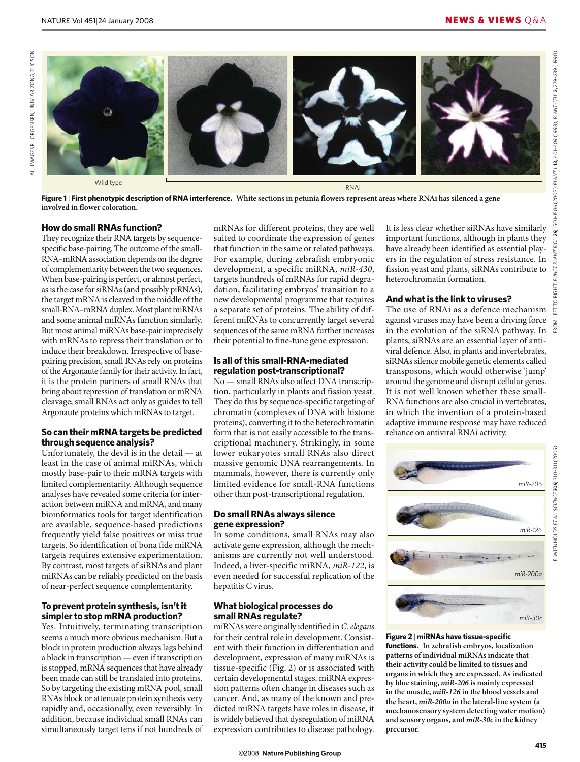

wild type **Example 2018** RNAi

**Figure 1** | **First phenotypic description of RNA interference. White sections in petunia flowers represent areas where RNAi has silenced a gene involved in flower coloration.**

#### **How do small RNAs function?**

They recognize their RNA targets by sequencespecific base-pairing. The outcome of the small-RNA–mRNA association depends on the degree of complementarity between the two sequences. When base-pairing is perfect, or almost perfect, as is the case for siRNAs (and possibly piRNAs), the target mRNA is cleaved in the middle of the small-RNA–mRNA duplex. Most plant miRNAs and some animal miRNAs function similarly. But most animal miRNAs base-pair imprecisely with mRNAs to repress their translation or to induce their breakdown. Irrespective of basepairing precision, small RNAs rely on proteins of the Argonaute family for their activity. In fact, it is the protein partners of small RNAs that bring about repression of translation or mRNA cleavage; small RNAs act only as guides to tell Argonaute proteins which mRNAs to target.

#### **So can their mRNA targets be predicted through sequence analysis?**

Unfortunately, the devil is in the detail — at least in the case of animal miRNAs, which mostly base-pair to their mRNA targets with limited complementarity. Although sequence analyses have revealed some criteria for interaction between miRNA and mRNA, and many bioinformatics tools for target identification are available, sequence-based predictions frequently yield false positives or miss true targets. So identification of bona fide miRNA targets requires extensive experimentation. By contrast, most targets of siRNAs and plant miRNAs can be reliably predicted on the basis of near-perfect sequence complementarity.

#### **To prevent protein synthesis, isn't it simpler to stop mRNA production?**

Yes. Intuitively, terminating transcription seems a much more obvious mechanism. But a block in protein production always lags behind a block in transcription — even if transcription is stopped, mRNA sequences that have already been made can still be translated into proteins. So by targeting the existing mRNA pool, small RNAs block or attenuate protein synthesis very rapidly and, occasionally, even reversibly. In addition, because individual small RNAs can simultaneously target tens if not hundreds of mRNAs for different proteins, they are well suited to coordinate the expression of genes that function in the same or related pathways. For example, during zebrafish embryonic development, a specific miRNA, *miR-430*, targets hundreds of mRNAs for rapid degradation, facilitating embryos' transition to a new developmental programme that requires a separate set of proteins. The ability of different miRNAs to concurrently target several sequences of the same mRNA further increases their potential to fine-tune gene expression.

#### **Is all of this small-RNA-mediated regulation post-transcriptional?**

No — small RNAs also affect DNA transcription, particularly in plants and fission yeast. They do this by sequence-specific targeting of chromatin (complexes of DNA with histone proteins), converting it to the heterochromatin form that is not easily accessible to the transcriptional machinery. Strikingly, in some lower eukaryotes small RNAs also direct massive genomic DNA rearrangements. In mammals, however, there is currently only limited evidence for small-RNA functions other than post-transcriptional regulation.

#### **Do small RNAs always silence gene expression?**

In some conditions, small RNAs may also activate gene expression, although the mechanisms are currently not well understood. Indeed, a liver-specific miRNA, *miR-122*, is even needed for successful replication of the hepatitis C virus.

#### **What biological processes do small RNAs regulate?**

miRNAs were originally identified in *C. elegans* for their central role in development. Consistent with their function in differentiation and development, expression of many miRNAs is tissue-specific (Fig. 2) or is associated with certain developmental stages. miRNA expression patterns often change in diseases such as cancer. And, as many of the known and predicted miRNA targets have roles in disease, it is widely believed that dysregulation of miRNA expression contributes to disease pathology.

It is less clear whether siRNAs have similarly important functions, although in plants they have already been identified as essential players in the regulation of stress resistance. In fission yeast and plants, siRNAs contribute to heterochromatin formation.

#### **And what is the link to viruses?**

The use of RNAi as a defence mechanism against viruses may have been a driving force in the evolution of the siRNA pathway. In plants, siRNAs are an essential layer of antiviral defence. Also, in plants and invertebrates, siRNAs silence mobile genetic elements called transposons, which would otherwise 'jump' around the genome and disrupt cellular genes. It is not well known whether these small-RNA functions are also crucial in vertebrates, in which the invention of a protein-based adaptive immune response may have reduced reliance on antiviral RNAi activity.

FROM LEFT TO RIGHT: *FUNCT. PLANT BIOL.* **29,** 1501–1506 (2002); *PLANT J.***13,** 401–409 (1998); *PLANT CELL* **2,** 279–289 (1990)

UNCT PLANT BIOL

**ROM LEFT TO RIGHT:** 

29, 1501-1506 (2002); PLANT J. 13, 401-409 (1998); PLANT CELL 2, 279-289 (1990)



**Figure 2** | **miRNAs have tissue-specific functions. In zebrafish embryos, localization patterns of individual miRNAs indicate that their activity could be limited to tissues and organs in which they are expressed. As indicated by blue staining,** *miR-206* **is mainly expressed in the muscle,** *miR-126* **in the blood vessels and the heart,** *miR-200a* **in the lateral-line system (a mechanosensory system detecting water motion) and sensory organs, and** *miR-30c* **in the kidney precursor.**